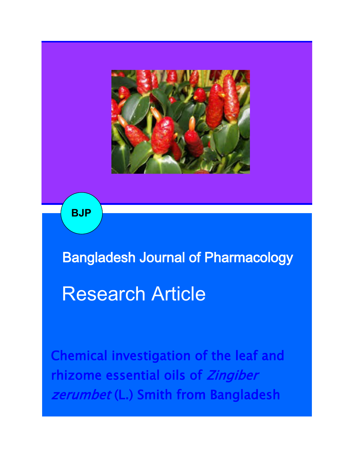

**BJP**

Bangladesh Journal of Pharmacology

# Research Article

Chemical investigation of the leaf and rhizome essential oils of Zingiber zerumbet (L.) Smith from Bangladesh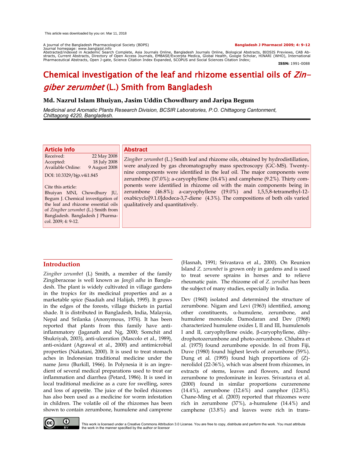A journal of the Bangladesh Pharmacological Society (BDPS) **Bangladesh J Pharmacol 2009; 4: 9-12** Journal homepage: www.banglajol.info

Abstracted/indexed in Academic Search Complete, Asia Journals Online, Bangladesh Journals Online, Biological Abstracts, BIOSIS Previews, CAB Ab-<br>stracts, Current Abstracts, Directory of Open Access Journals, EMBASE/Excerpt

**ISSN:** 1991-0088

# Chemical investigation of the leaf and rhizome essential oils of Zingiber zerumbet (L.) Smith from Bangladesh

# **Md. Nazrul Islam Bhuiyan, Jasim Uddin Chowdhury and Jaripa Begum**

*Medicinal and Aromatic Plants Research Division, BCSIR Laboratories, P.O. Chittagong Cantonment, Chittagong 4220, Bangladesh.*

| <b>Article Info</b>                       | <b>Abstract</b>                                                                                                                  |  |  |  |
|-------------------------------------------|----------------------------------------------------------------------------------------------------------------------------------|--|--|--|
| Received:<br>22 May 2008                  |                                                                                                                                  |  |  |  |
| 18 July 2008<br>Accepted:                 | Zingiber zerumbet (L.) Smith leaf and rhizome oils, obtained by hydrodistillation,                                               |  |  |  |
| <b>Available Online:</b><br>9 August 2008 | were analyzed by gas chromatography mass spectroscopy (GC-MS). Twenty-                                                           |  |  |  |
| DOI: 10.3329/bjp.v4i1.845                 | nine components were identified in the leaf oil. The major components were                                                       |  |  |  |
|                                           | zerumbone (37.0%); a-caryophyllene (16.4%) and camphene (9.2%). Thirty com-                                                      |  |  |  |
| Cite this article:                        | ponents were identified in rhizome oil with the main components being in                                                         |  |  |  |
| Bhuiyan MNI, Chowdhury JU,                | zerumbone (46.8%); a-caryophyllene (19.0%) and 1,5,5,8-tetramethyl-12-                                                           |  |  |  |
| Begum J. Chemical investigation of        | oxabicyclo <sup>[9.1.0]</sup> dodeca-3,7-diene (4.3%). The compositions of both oils varied<br>qualitatively and quantitatively. |  |  |  |
| the leaf and rhizome essential oils       |                                                                                                                                  |  |  |  |
| of Zingiber zerumbet (L.) Smith from      |                                                                                                                                  |  |  |  |
| Bangladesh. Bangladesh J Pharma-          |                                                                                                                                  |  |  |  |
| col. 2009; 4: 9-12.                       |                                                                                                                                  |  |  |  |
|                                           |                                                                                                                                  |  |  |  |

# **Introduction**

*Zingiber zerumbet* (L) Smith, a member of the family Zingiberaceae is well known as *Jangli adha* in Bangladesh. The plant is widely cultivated in village gardens in the tropics for its medicinal properties and as a marketable spice (Saadiah and Halijah, 1995). It grows in the edges of the forests, village thickets in partial shade. It is distributed in Bangladesh, India, Malaysia, Nepal and Srilanka (Anonymous, 1976). It has been reported that plants from this family have antiinflammatory (Jaganath and Ng, 2000; Somchit and Shukriyah, 2003), anti-ulceration (Mascolo et al., 1989), anti-oxidant (Agrawal et al., 2000) and antimicrobial properties (Nakatani, 2000). It is used to treat stomach aches in Indonesian traditional medicine under the name *Jamu* (Burkill, 1966). In Polynesia it is an ingredient of several medical preparations used to treat ear inflammation and diarrhea (Petard, 1986). It is used in local traditional medicine as a cure for swelling, sores and loss of appetite. The juice of the boiled rhizomes has also been used as a medicine for worm infestation in children. The volatile oil of the rhizomes has been shown to contain zerumbone, humulene and camprene

(Hasnah, 1991; Srivastava et al., 2000). On Reunion Island *Z. zerumbet* is grown only in gardens and is used to treat severe sprains in horses and to relieve rheumatic pain. The rhizome oil of *Z. zeruibet* has been the subject of many studies, especially in India.

Dev (1960) isolated and determined the structure of zerumbone. Nigam and Levi (1963) identified, among other constituents,  $\alpha$ -humulene, zerumbone, and humulene monoxide. Damodaran and Dev (1968) characterized humulene oxides I, II and III, humulenols I and II, caryophyllene oxide,  $\beta$ -caryophyllene, dihydrophotozerumbone and photo-zerumbone. Chhabra et al. (1975) found zerumbone epoxide. In oil from Fiji, Duve (1980) found highest levels of zerumbone (59%). Dung et al. (1995) found high proportions of (Z) nerolidol (22-36%), which was absent from rhizomes, in extracts of stems, leaves and flowers, and found zerumbone to predominate in leaves. Srivastava et al. (2000) found in similar proportions curzerenone (14.4%), zerumbone (12.6%) and camphor (12.8%). Chane-Ming et al. (2003) reported that rhizomes were rich in zerumbone (37%), a-humulene (14.4%) and camphene (13.8%) and leaves were rich in trans-



This work is licensed under a Creative Commons Attribution 3.0 License. You are free to copy, distribute and perform the work. You must attribute<br>the work in the manner specified by the author or licensor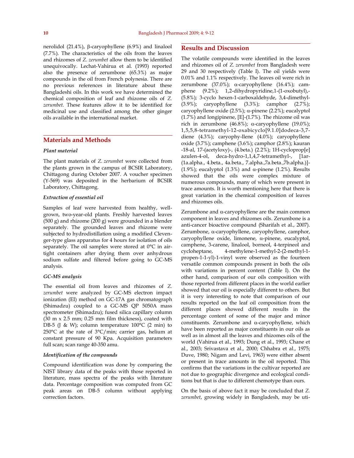nerolidol (21.4%),  $\beta$ -caryophyllene (6.9%) and linalool (7.7%). The characteristics of the oils from the leaves and rhizomes of *Z. zerumbet* allow them to be identified unequivocally. Lechat-Vahirua et al. (1993) reported also the presence of zerumbone (65.3%) as major compounds in the oil from French polynesia. There are no previous references in literature about these Bangladeshi oils. In this work we have determined the chemical composition of leaf and rhizome oils of *Z. zerumbet*. These features allow it to be identified for medicinal use and classified among the other ginger oils available in the international market.

# **Materials and Methods**

#### *Plant material*

The plant materials of *Z. zerumbet* were collected from the plants grown in the campus of BCSIR Laboratory, Chittagong during October 2007. A voucher specimen (Y-569) was deposited in the herbarium of BCSIR Laboratory, Chittagong.

#### *Extraction of essential oil*

Samples of leaf were harvested from healthy, wellgrown, two-year-old plants. Freshly harvested leaves (500 g) and rhizome (200 g) were grounded in a blender separately. The grounded leaves and rhizome were subjected to hydrodistillation using a modified Clevenger-type glass apparatus for 4 hours for isolation of oils separately. The oil samples were stored at 0°C in airtight containers after drying them over anhydrous sodium sulfate and filtered before going to GC-MS analysis.

### *GC-MS analysis*

The essential oil from leaves and rhizomes of *Z. zerumbet* were analyzed by GC-MS electron impact ionization (EI) method on GC-17A gas chromatograph (Shimadzu) coupled to a GC-MS QP 5050A mass spectrometer (Shimadzu); fused silica capillary column  $(30 \text{ m} \times 2.5 \text{ mm})$ ; 0.25 mm film thickness), coated with DB-5 (J & W); column temperature  $100^{\circ}$ C (2 min) to 250°C at the rate of 3°C/min; carrier gas, helium at constant pressure of 90 Kpa. Acquisition parameters full scan; scan range 40-350 amu.

#### *Identification of the compounds*

Compound identification was done by comparing the NIST library data of the peaks with those reported in literature, mass spectra of the peaks with literature data. Percentage composition was computed from GC peak areas on DB-5 column without applying correction factors.

# **Results and Discussion**

The volatile compounds were identified in the leaves and rhizomes oil of *Z. zerumbet* from Bangladesh were 29 and 30 respectively (Table I). The oil yields were 0.01% and 1.1% respectively. The leaves oil were rich in zerumbone (37.0%);  $\alpha$ -caryophyllene (16.4%); camphene (9.2%); 1,2-dihydropyridine,1-(1-oxobutyl),- (5.8%); 3-cyclo hexen-1-carboxaldehyde, 3,4-dimethyl- (3.9%); caryophyllene (3.3%); camphor (2.7%); caryophyllene oxide  $(2.5\%)$ ;  $\alpha$ -pinene  $(2.2\%)$ ; eucalyptol (1.7%) and longipinene, [E]-(1.7%). The rhizome oil was rich in zerumbone (46.8%);  $\alpha$ -caryophyllene (19.0%); 1,5,5,8-tetramethyl-12-oxabicyclo[9.1.0]dodeca-3,7 diene (4.3%); caryophy-llene (4.0%); caryophyllene oxide (3.7%); camphene (3.6%); camphor (2.8%); kauran -18-al, 17-(acetyloxy)-, (4.beta.) (2.2%); 1H-cycloprop[e] azulen-4-ol, deca-hydro-1,1,4,7-tetramethyl-, [1ar- (1a.alpha., 4.beta., 4a.beta., 7.alpha.,7a.beta.,7b.alpha.)]- (1.9%); eucalyptol (1.3%) and  $\alpha$ -pinene (1.2%). Results showed that the oils were complex mixture of numerous compounds, many of which were present in trace amounts. It is worth mentioning here that there is great variation in the chemical composition of leaves and rhizomes oils.

Zerumbone and  $\alpha$ -caryophyllene are the main common component in leaves and rhizomes oils. Zerumbone is a anti-cancer bioactive compound (Sharifah et al., 2007). Zerumbone,  $\alpha$ -caryophyllene, caryophyllene, camphor,  $caryophyllene oxide, limonene, α-pinene, eucalyptol,$ camphene, 3-carene, linalool, borneol, 4-terpineol and cycloheptane, 4-methylene-1-methyl-2-(2-methyl-1 propen-1-1-yl)-1-vinyl were observed as the fourteen versatile common compounds present in both the oils with variations in percent content (Table I). On the other hand, comparison of our oils composition with those reported from different places in the world earlier showed that our oil is especially different to others. But it is very interesting to note that comparison of our results reported on the leaf oil composition from the different places showed different results in the percentage content of some of the major and minor constituents. Zerumbone and  $\alpha$ -caryophyllene, which have been reported as major constituents in our oils as well as in almost all the leaves and rhizomes oils of the world (Vahirua et al., 1993; Dung et al., 1993; Chane et al., 2003; Srivastava et al., 2000; Chhabra et al., 1975; Duve, 1980; Nigam and Levi, 1963) were either absent or present in trace amounts in the oil reported. This confirms that the variations in the cultivar reported are not due to geographic divergence and ecological conditions but that is due to different chemotype than ours.

On the basis of above fact it may be concluded that *Z. zerumbet*, growing widely in Bangladesh, may be uti-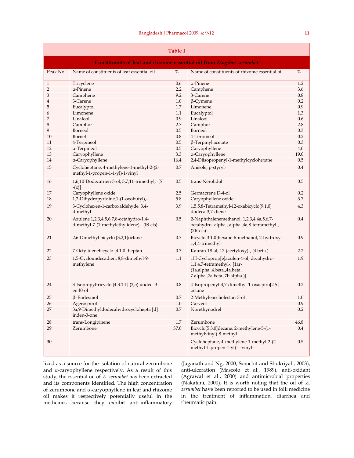| <b>Table I</b>                                                        |                                                                                       |         |                                                                                                                                         |           |  |
|-----------------------------------------------------------------------|---------------------------------------------------------------------------------------|---------|-----------------------------------------------------------------------------------------------------------------------------------------|-----------|--|
| Constituents of leaf and rhizome essential oil from Zingiber zerumbet |                                                                                       |         |                                                                                                                                         |           |  |
| Peak No.                                                              | Name of constituents of leaf essential oil                                            | $\%$    | Name of constituents of rhizome essential oil                                                                                           | %         |  |
| $\mathbf{1}$                                                          | Tricyclene                                                                            | 0.6     | a-Pinene                                                                                                                                | 1.2       |  |
| 2                                                                     | a-Pinene                                                                              | 2.2     | Camphene                                                                                                                                | 3.6       |  |
| 3                                                                     | Camphene                                                                              | 9.2     | 3-Carene                                                                                                                                | 0.8       |  |
| 4                                                                     | 3-Carene                                                                              |         | $\beta$ -Cymene                                                                                                                         | 0.2       |  |
| 5                                                                     | Eucalyptol                                                                            | 1.7     | Limonene                                                                                                                                | 0.9       |  |
| 6                                                                     | Limonene                                                                              | 1.1     | Eucalyptol                                                                                                                              | 1.3       |  |
| 7                                                                     | Linalool                                                                              | 0.9     | Linalool                                                                                                                                | 0.6       |  |
| 8                                                                     | Camphor                                                                               | 2.7     | Camphor                                                                                                                                 | 2.8       |  |
| 9                                                                     | Borneol                                                                               | 0.5     | Borneol                                                                                                                                 | 0.3       |  |
| 10                                                                    | Bornel                                                                                | 0.8     | 4-Terpineol                                                                                                                             | 0.2       |  |
| 11                                                                    | 4-Terpineol                                                                           | 0.5     | $\beta$ -Terpinyl acetate                                                                                                               | 0.3       |  |
| 12                                                                    | a-Terpineol                                                                           | 0.5     | Caryophyllene                                                                                                                           | 4.0       |  |
| 13                                                                    | Caryophyllene                                                                         | 3.3     | a-Caryophyllene                                                                                                                         | 19.0      |  |
| 14                                                                    | a-Caryophyllene                                                                       | 16.4    | 2,4-Diisopropenyl-1-methylcyclohexane                                                                                                   | 0.5       |  |
| 15                                                                    | Cycloheptane, 4-methylene-1-methyl-2-(2-<br>methyl-1-propen-1-1-yl)-1-vinyl           | 0.7     | Anisole, p-styryl-                                                                                                                      | 0.4       |  |
| 16                                                                    | 1,6,10-Dodecatrien-3-ol, 3,7,11-trimethyl, -[S<br>$-(z)$ ]                            | 0.5     | trans-Nerolidol                                                                                                                         | 0.5       |  |
| 17                                                                    | Caryophyllene oxide                                                                   | 2.5     | Germacrene D-4-ol                                                                                                                       | 0.2       |  |
| 18                                                                    | 1,2-Dihydropyridine,1-(1-oxobutyl),-                                                  | 5.8     | Caryophyllene oxide                                                                                                                     | 3.7       |  |
| 19                                                                    | 3-Cyclohexen-1-carboxaldehyde, 3,4-<br>dimethyl-                                      | 3.9     | 1,5,5,8-Tetramethyl-12-oxabicyclo[9.1.0]<br>dodeca-3,7-diene                                                                            | 4.3       |  |
| 20                                                                    | Azulene 1,2,3,4,5,6,7,8-octahydro-1,4-<br>dimethyl-7-(1-methylethylidene), -(IS-cis)- | 0.5     | 2-Naphthalenemethanol, 1,2,3,4,4a,5,6,7-<br>octahydro-.alpha.,.alpha.,4a,8-tetramethyl-,<br>$(2R\text{-cis})$ -                         | 0.4       |  |
| 21                                                                    | 2,6-Dimethyl bicyclo [3,2,1] octane                                                   | 0.7     | Bicyclo[3.1.0]hexane-6-methanol, 2-hydroxy-<br>1,4,4-trimethyl-                                                                         | 0.9       |  |
| 22                                                                    | 7-Octylidenebicyclo [4.1.0] heptan-                                                   | 0.7     | Kauran-18-al, 17-(acetyloxy)-, (4.beta.)-                                                                                               | 2.2       |  |
| 23                                                                    | 1,5-Cycloundecadien, 8,8-dimethyl-9-<br>methylene                                     | 1.1     | 1H-Cycloprop[e]azulen-4-ol, decahydro-<br>1,1,4,7-tetramethyl-, [1ar-<br>(1a.alpha.,4.beta.,4a.beta.,<br>7.alpha.,7a.beta.,7b.alpha.)]- | 1.9       |  |
| 24                                                                    | 3-Isopropyltricyclo [4.3.1.1] (2,5) undec -3-<br>en-10-ol                             | 0.8     | 4-Isopropenyl-4,7-dimethyl-1-oxaspiro[2.5]<br>octane                                                                                    | 0.2       |  |
| 25                                                                    | $\beta$ -Eudesmol                                                                     | 0.7     | 2-Methylenecholestan-3-ol                                                                                                               | 1.0       |  |
| 26                                                                    | Agerospirol                                                                           | $1.0\,$ | Carveol                                                                                                                                 | $\rm 0.9$ |  |
| 27                                                                    | 3a,9-Dimethyldodecahydrocyclohepta [d]<br>inden-3-one                                 | $0.7\,$ | Norethynodrel                                                                                                                           | 0.2       |  |
| 28                                                                    | trans-Longipinene                                                                     | 1.7     | Zerumbone                                                                                                                               | 46.8      |  |
| 29                                                                    | Zerumbone                                                                             | 37.0    | Bicyclo[5.3.0]decane, 2-methylene-5-(1-<br>methylvinyl)-8-methyl-                                                                       | 0.4       |  |
| 30                                                                    |                                                                                       |         | Cycloheptane, 4-methylene-1-methyl-2-(2-<br>methyl-1-propen-1-yl)-1-vinyl-                                                              | 0.5       |  |

lized as a source for the isolation of natural zerumbone and  $\alpha$ -caryophyllene respectively. As a result of this study, the essential oil of *Z. zerumbet* has been extracted and its components identified. The high concentration of zerumbone and  $\alpha$ -caryophyllene in leaf and rhizome oil makes it respectively potentially useful in the medicines because they exhibit anti-inflammatory

(Jaganath and Ng, 2000; Somchit and Shukriyah, 2003), anti-ulceration (Mascolo et al., 1989), anti-oxidant (Agrawal et al., 2000) and antimicrobial properties (Nakatani, 2000). It is worth noting that the oil of *Z. zerumbet* have been reported to be used in folk medicine in the treatment of inflammation, diarrhea and rheumatic pain.